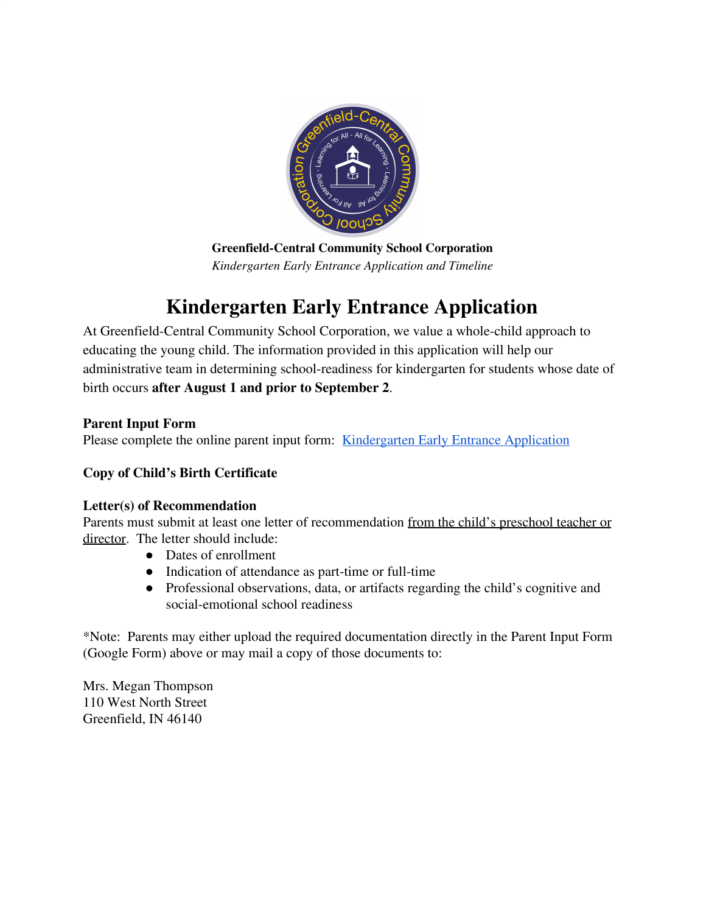

**Greenfield-Central Community School Corporation** *Kindergarten Early Entrance Application and Timeline*

# **Kindergarten Early Entrance Application**

At Greenfield-Central Community School Corporation, we value a whole-child approach to educating the young child. The information provided in this application will help our administrative team in determining school-readiness for kindergarten for students whose date of birth occurs **after August 1 and prior to September 2**.

# **Parent Input Form**

Please complete the online parent input form: [Kindergarten Early Entrance Application](https://forms.gle/koa1TgRE25enXVH46)

# **Copy of Child's Birth Certificate**

# **Letter(s) of Recommendation**

Parents must submit at least one letter of recommendation from the child's preschool teacher or director. The letter should include:

- Dates of enrollment
- Indication of attendance as part-time or full-time
- Professional observations, data, or artifacts regarding the child's cognitive and social-emotional school readiness

\*Note: Parents may either upload the required documentation directly in the Parent Input Form (Google Form) above or may mail a copy of those documents to:

Mrs. Megan Thompson 110 West North Street Greenfield, IN 46140